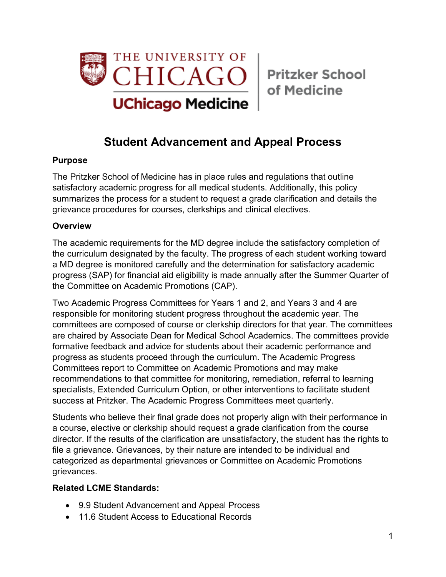

of Medicine

# **Student Advancement and Appeal Process**

#### **Purpose**

The Pritzker School of Medicine has in place rules and regulations that outline satisfactory academic progress for all medical students. Additionally, this policy summarizes the process for a student to request a grade clarification and details the grievance procedures for courses, clerkships and clinical electives.

### **Overview**

The academic requirements for the MD degree include the satisfactory completion of the curriculum designated by the faculty. The progress of each student working toward a MD degree is monitored carefully and the determination for satisfactory academic progress (SAP) for financial aid eligibility is made annually after the Summer Quarter of the Committee on Academic Promotions (CAP).

Two Academic Progress Committees for Years 1 and 2, and Years 3 and 4 are responsible for monitoring student progress throughout the academic year. The committees are composed of course or clerkship directors for that year. The committees are chaired by Associate Dean for Medical School Academics. The committees provide formative feedback and advice for students about their academic performance and progress as students proceed through the curriculum. The Academic Progress Committees report to Committee on Academic Promotions and may make recommendations to that committee for monitoring, remediation, referral to learning specialists, Extended Curriculum Option, or other interventions to facilitate student success at Pritzker. The Academic Progress Committees meet quarterly.

Students who believe their final grade does not properly align with their performance in a course, elective or clerkship should request a grade clarification from the course director. If the results of the clarification are unsatisfactory, the student has the rights to file a grievance. Grievances, by their nature are intended to be individual and categorized as departmental grievances or Committee on Academic Promotions grievances.

#### **Related LCME Standards:**

- 9.9 Student Advancement and Appeal Process
- 11.6 Student Access to Educational Records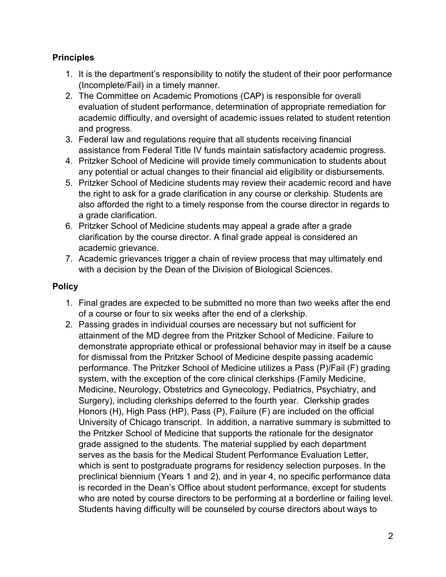#### **Principles**

- 1. It is the department's responsibility to notify the student of their poor performance (Incomplete/Fail) in a timely manner.
- 2. The Committee on Academic Promotions (CAP) is responsible for overall evaluation of student performance, determination of appropriate remediation for academic difficulty, and oversight of academic issues related to student retention and progress.
- 3. Federal law and regulations require that all students receiving financial assistance from Federal Title IV funds maintain satisfactory academic progress.
- 4. Pritzker School of Medicine will provide timely communication to students about any potential or actual changes to their financial aid eligibility or disbursements.
- 5. Pritzker School of Medicine students may review their academic record and have the right to ask for a grade clarification in any course or clerkship. Students are also afforded the right to a timely response from the course director in regards to a grade clarification.
- 6. Pritzker School of Medicine students may appeal a grade after a grade clarification by the course director. A final grade appeal is considered an academic grievance.
- 7. Academic grievances trigger a chain of review process that may ultimately end with a decision by the Dean of the Division of Biological Sciences.

## **Policy**

- 1. Final grades are expected to be submitted no more than two weeks after the end of a course or four to six weeks after the end of a clerkship.
- 2. Passing grades in individual courses are necessary but not sufficient for attainment of the MD degree from the Pritzker School of Medicine. Failure to demonstrate appropriate ethical or professional behavior may in itself be a cause for dismissal from the Pritzker School of Medicine despite passing academic performance. The Pritzker School of Medicine utilizes a Pass (P)/Fail (F) grading system, with the exception of the core clinical clerkships (Family Medicine, Medicine, Neurology, Obstetrics and Gynecology, Pediatrics, Psychiatry, and Surgery), including clerkships deferred to the fourth year. Clerkship grades Honors (H), High Pass (HP), Pass (P), Failure (F) are included on the official University of Chicago transcript. In addition, a narrative summary is submitted to the Pritzker School of Medicine that supports the rationale for the designator grade assigned to the students. The material supplied by each department serves as the basis for the Medical Student Performance Evaluation Letter, which is sent to postgraduate programs for residency selection purposes. In the preclinical biennium (Years 1 and 2), and in year 4, no specific performance data is recorded in the Dean's Office about student performance, except for students who are noted by course directors to be performing at a borderline or failing level. Students having difficulty will be counseled by course directors about ways to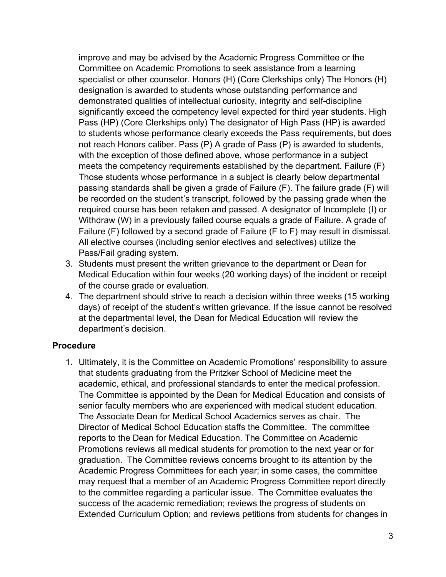improve and may be advised by the Academic Progress Committee or the Committee on Academic Promotions to seek assistance from a learning specialist or other counselor. Honors (H) (Core Clerkships only) The Honors (H) designation is awarded to students whose outstanding performance and demonstrated qualities of intellectual curiosity, integrity and self-discipline significantly exceed the competency level expected for third year students. High Pass (HP) (Core Clerkships only) The designator of High Pass (HP) is awarded to students whose performance clearly exceeds the Pass requirements, but does not reach Honors caliber. Pass (P) A grade of Pass (P) is awarded to students, with the exception of those defined above, whose performance in a subject meets the competency requirements established by the department. Failure (F) Those students whose performance in a subject is clearly below departmental passing standards shall be given a grade of Failure (F). The failure grade (F) will be recorded on the student's transcript, followed by the passing grade when the required course has been retaken and passed. A designator of Incomplete (I) or Withdraw (W) in a previously failed course equals a grade of Failure. A grade of Failure (F) followed by a second grade of Failure (F to F) may result in dismissal. All elective courses (including senior electives and selectives) utilize the Pass/Fail grading system.

- 3. Students must present the written grievance to the department or Dean for Medical Education within four weeks (20 working days) of the incident or receipt of the course grade or evaluation.
- 4. The department should strive to reach a decision within three weeks (15 working days) of receipt of the student's written grievance. If the issue cannot be resolved at the departmental level, the Dean for Medical Education will review the department's decision.

#### **Procedure**

1. Ultimately, it is the Committee on Academic Promotions' responsibility to assure that students graduating from the Pritzker School of Medicine meet the academic, ethical, and professional standards to enter the medical profession. The Committee is appointed by the Dean for Medical Education and consists of senior faculty members who are experienced with medical student education. The Associate Dean for Medical School Academics serves as chair. The Director of Medical School Education staffs the Committee. The committee reports to the Dean for Medical Education. The Committee on Academic Promotions reviews all medical students for promotion to the next year or for graduation. The Committee reviews concerns brought to its attention by the Academic Progress Committees for each year; in some cases, the committee may request that a member of an Academic Progress Committee report directly to the committee regarding a particular issue. The Committee evaluates the success of the academic remediation; reviews the progress of students on Extended Curriculum Option; and reviews petitions from students for changes in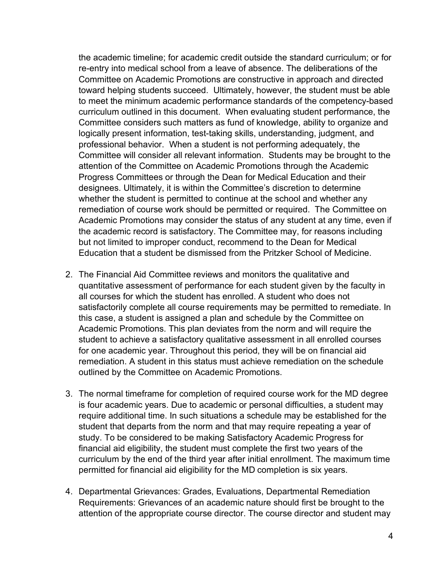the academic timeline; for academic credit outside the standard curriculum; or for re-entry into medical school from a leave of absence. The deliberations of the Committee on Academic Promotions are constructive in approach and directed toward helping students succeed. Ultimately, however, the student must be able to meet the minimum academic performance standards of the competency-based curriculum outlined in this document. When evaluating student performance, the Committee considers such matters as fund of knowledge, ability to organize and logically present information, test-taking skills, understanding, judgment, and professional behavior. When a student is not performing adequately, the Committee will consider all relevant information. Students may be brought to the attention of the Committee on Academic Promotions through the Academic Progress Committees or through the Dean for Medical Education and their designees. Ultimately, it is within the Committee's discretion to determine whether the student is permitted to continue at the school and whether any remediation of course work should be permitted or required. The Committee on Academic Promotions may consider the status of any student at any time, even if the academic record is satisfactory. The Committee may, for reasons including but not limited to improper conduct, recommend to the Dean for Medical Education that a student be dismissed from the Pritzker School of Medicine.

- 2. The Financial Aid Committee reviews and monitors the qualitative and quantitative assessment of performance for each student given by the faculty in all courses for which the student has enrolled. A student who does not satisfactorily complete all course requirements may be permitted to remediate. In this case, a student is assigned a plan and schedule by the Committee on Academic Promotions. This plan deviates from the norm and will require the student to achieve a satisfactory qualitative assessment in all enrolled courses for one academic year. Throughout this period, they will be on financial aid remediation. A student in this status must achieve remediation on the schedule outlined by the Committee on Academic Promotions.
- 3. The normal timeframe for completion of required course work for the MD degree is four academic years. Due to academic or personal difficulties, a student may require additional time. In such situations a schedule may be established for the student that departs from the norm and that may require repeating a year of study. To be considered to be making Satisfactory Academic Progress for financial aid eligibility, the student must complete the first two years of the curriculum by the end of the third year after initial enrollment. The maximum time permitted for financial aid eligibility for the MD completion is six years.
- 4. Departmental Grievances: Grades, Evaluations, Departmental Remediation Requirements: Grievances of an academic nature should first be brought to the attention of the appropriate course director. The course director and student may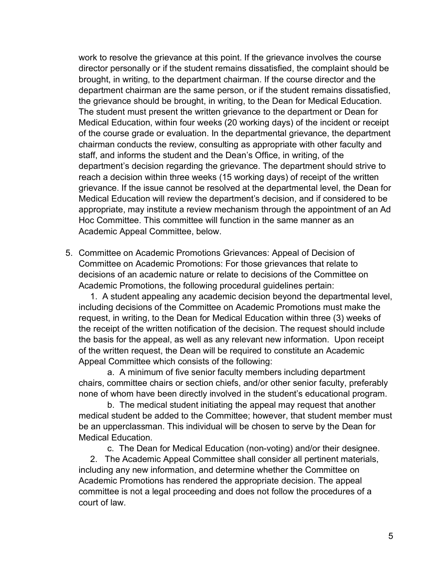work to resolve the grievance at this point. If the grievance involves the course director personally or if the student remains dissatisfied, the complaint should be brought, in writing, to the department chairman. If the course director and the department chairman are the same person, or if the student remains dissatisfied, the grievance should be brought, in writing, to the Dean for Medical Education. The student must present the written grievance to the department or Dean for Medical Education, within four weeks (20 working days) of the incident or receipt of the course grade or evaluation. In the departmental grievance, the department chairman conducts the review, consulting as appropriate with other faculty and staff, and informs the student and the Dean's Office, in writing, of the department's decision regarding the grievance. The department should strive to reach a decision within three weeks (15 working days) of receipt of the written grievance. If the issue cannot be resolved at the departmental level, the Dean for Medical Education will review the department's decision, and if considered to be appropriate, may institute a review mechanism through the appointment of an Ad Hoc Committee. This committee will function in the same manner as an Academic Appeal Committee, below.

5. Committee on Academic Promotions Grievances: Appeal of Decision of Committee on Academic Promotions: For those grievances that relate to decisions of an academic nature or relate to decisions of the Committee on Academic Promotions, the following procedural guidelines pertain:

1. A student appealing any academic decision beyond the departmental level, including decisions of the Committee on Academic Promotions must make the request, in writing, to the Dean for Medical Education within three (3) weeks of the receipt of the written notification of the decision. The request should include the basis for the appeal, as well as any relevant new information. Upon receipt of the written request, the Dean will be required to constitute an Academic Appeal Committee which consists of the following:

a. A minimum of five senior faculty members including department chairs, committee chairs or section chiefs, and/or other senior faculty, preferably none of whom have been directly involved in the student's educational program.

b. The medical student initiating the appeal may request that another medical student be added to the Committee; however, that student member must be an upperclassman. This individual will be chosen to serve by the Dean for Medical Education.

c. The Dean for Medical Education (non-voting) and/or their designee.

2. The Academic Appeal Committee shall consider all pertinent materials, including any new information, and determine whether the Committee on Academic Promotions has rendered the appropriate decision. The appeal committee is not a legal proceeding and does not follow the procedures of a court of law.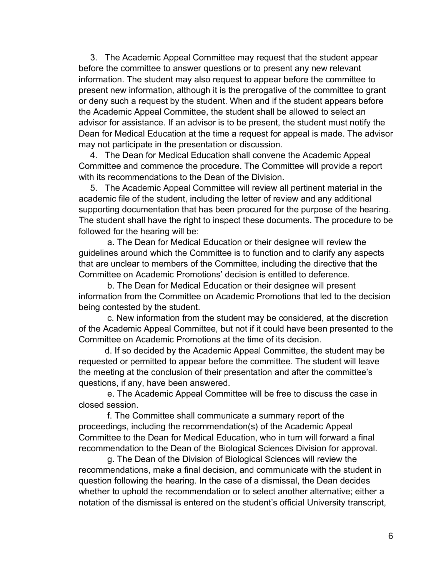3. The Academic Appeal Committee may request that the student appear before the committee to answer questions or to present any new relevant information. The student may also request to appear before the committee to present new information, although it is the prerogative of the committee to grant or deny such a request by the student. When and if the student appears before the Academic Appeal Committee, the student shall be allowed to select an advisor for assistance. If an advisor is to be present, the student must notify the Dean for Medical Education at the time a request for appeal is made. The advisor may not participate in the presentation or discussion.

4. The Dean for Medical Education shall convene the Academic Appeal Committee and commence the procedure. The Committee will provide a report with its recommendations to the Dean of the Division.

5. The Academic Appeal Committee will review all pertinent material in the academic file of the student, including the letter of review and any additional supporting documentation that has been procured for the purpose of the hearing. The student shall have the right to inspect these documents. The procedure to be followed for the hearing will be:

a. The Dean for Medical Education or their designee will review the guidelines around which the Committee is to function and to clarify any aspects that are unclear to members of the Committee, including the directive that the Committee on Academic Promotions' decision is entitled to deference.

b. The Dean for Medical Education or their designee will present information from the Committee on Academic Promotions that led to the decision being contested by the student.

c. New information from the student may be considered, at the discretion of the Academic Appeal Committee, but not if it could have been presented to the Committee on Academic Promotions at the time of its decision.

d. If so decided by the Academic Appeal Committee, the student may be requested or permitted to appear before the committee. The student will leave the meeting at the conclusion of their presentation and after the committee's questions, if any, have been answered.

e. The Academic Appeal Committee will be free to discuss the case in closed session.

f. The Committee shall communicate a summary report of the proceedings, including the recommendation(s) of the Academic Appeal Committee to the Dean for Medical Education, who in turn will forward a final recommendation to the Dean of the Biological Sciences Division for approval.

g. The Dean of the Division of Biological Sciences will review the recommendations, make a final decision, and communicate with the student in question following the hearing. In the case of a dismissal, the Dean decides whether to uphold the recommendation or to select another alternative; either a notation of the dismissal is entered on the student's official University transcript,